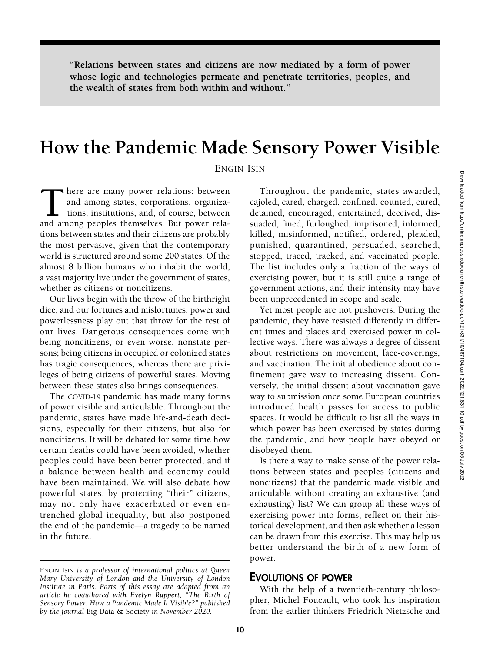"Relations between states and citizens are now mediated by a form of power whose logic and technologies permeate and penetrate territories, peoples, and the wealth of states from both within and without."

# How the Pandemic Made Sensory Power Visible

ENGIN ISIN

here are many power relations: between and among states, corporations, organizations, institutions, and, of course, between and among peoples themselves. But power relations between states and their citizens are probably the most pervasive, given that the contemporary world is structured around some 200 states. Of the almost 8 billion humans who inhabit the world, a vast majority live under the government of states, whether as citizens or noncitizens.

Our lives begin with the throw of the birthright dice, and our fortunes and misfortunes, power and powerlessness play out that throw for the rest of our lives. Dangerous consequences come with being noncitizens, or even worse, nonstate persons; being citizens in occupied or colonized states has tragic consequences; whereas there are privileges of being citizens of powerful states. Moving between these states also brings consequences.

The COVID-19 pandemic has made many forms of power visible and articulable. Throughout the pandemic, states have made life-and-death decisions, especially for their citizens, but also for noncitizens. It will be debated for some time how certain deaths could have been avoided, whether peoples could have been better protected, and if a balance between health and economy could have been maintained. We will also debate how powerful states, by protecting "their" citizens, may not only have exacerbated or even entrenched global inequality, but also postponed the end of the pandemic—a tragedy to be named in the future.

Throughout the pandemic, states awarded, cajoled, cared, charged, confined, counted, cured, detained, encouraged, entertained, deceived, dissuaded, fined, furloughed, imprisoned, informed, killed, misinformed, notified, ordered, pleaded, punished, quarantined, persuaded, searched, stopped, traced, tracked, and vaccinated people. The list includes only a fraction of the ways of exercising power, but it is still quite a range of government actions, and their intensity may have been unprecedented in scope and scale.

Yet most people are not pushovers. During the pandemic, they have resisted differently in different times and places and exercised power in collective ways. There was always a degree of dissent about restrictions on movement, face-coverings, and vaccination. The initial obedience about confinement gave way to increasing dissent. Conversely, the initial dissent about vaccination gave way to submission once some European countries introduced health passes for access to public spaces. It would be difficult to list all the ways in which power has been exercised by states during the pandemic, and how people have obeyed or disobeyed them.

Is there a way to make sense of the power relations between states and peoples (citizens and noncitizens) that the pandemic made visible and articulable without creating an exhaustive (and exhausting) list? We can group all these ways of exercising power into forms, reflect on their historical development, and then ask whether a lesson can be drawn from this exercise. This may help us better understand the birth of a new form of power.

## EVOLUTIONS OF POWER

With the help of a twentieth-century philosopher, Michel Foucault, who took his inspiration from the earlier thinkers Friedrich Nietzsche and

ENGIN ISIN is a professor of international politics at Queen Mary University of London and the University of London Institute in Paris. Parts of this essay are adapted from an article he coauthored with Evelyn Ruppert, "The Birth of Sensory Power: How a Pandemic Made It Visible?" published by the journal Big Data  $\&$  Society in November 2020.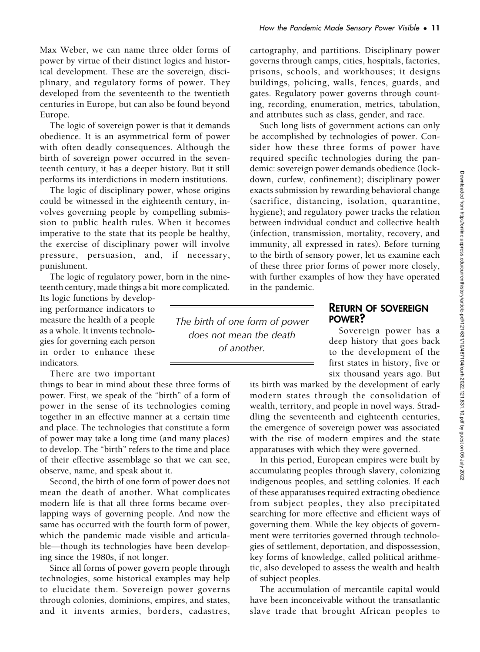Max Weber, we can name three older forms of

power by virtue of their distinct logics and historical development. These are the sovereign, disciplinary, and regulatory forms of power. They developed from the seventeenth to the twentieth centuries in Europe, but can also be found beyond Europe.

The logic of sovereign power is that it demands obedience. It is an asymmetrical form of power with often deadly consequences. Although the birth of sovereign power occurred in the seventeenth century, it has a deeper history. But it still performs its interdictions in modern institutions.

The logic of disciplinary power, whose origins could be witnessed in the eighteenth century, involves governing people by compelling submission to public health rules. When it becomes imperative to the state that its people be healthy, the exercise of disciplinary power will involve pressure, persuasion, and, if necessary, punishment.

The logic of regulatory power, born in the nineteenth century, made things a bit more complicated.

Its logic functions by developing performance indicators to measure the health of a people as a whole. It invents technologies for governing each person in order to enhance these indicators.

There are two important

things to bear in mind about these three forms of power. First, we speak of the "birth" of a form of power in the sense of its technologies coming together in an effective manner at a certain time and place. The technologies that constitute a form of power may take a long time (and many places) to develop. The "birth" refers to the time and place of their effective assemblage so that we can see, observe, name, and speak about it.

Second, the birth of one form of power does not mean the death of another. What complicates modern life is that all three forms became overlapping ways of governing people. And now the same has occurred with the fourth form of power, which the pandemic made visible and articulable—though its technologies have been developing since the 1980s, if not longer.

Since all forms of power govern people through technologies, some historical examples may help to elucidate them. Sovereign power governs through colonies, dominions, empires, and states, and it invents armies, borders, cadastres,

The birth of one form of power does not mean the death of another.

cartography, and partitions. Disciplinary power governs through camps, cities, hospitals, factories, prisons, schools, and workhouses; it designs buildings, policing, walls, fences, guards, and gates. Regulatory power governs through counting, recording, enumeration, metrics, tabulation, and attributes such as class, gender, and race.

Such long lists of government actions can only be accomplished by technologies of power. Consider how these three forms of power have required specific technologies during the pandemic: sovereign power demands obedience (lockdown, curfew, confinement); disciplinary power exacts submission by rewarding behavioral change (sacrifice, distancing, isolation, quarantine, hygiene); and regulatory power tracks the relation between individual conduct and collective health (infection, transmission, mortality, recovery, and immunity, all expressed in rates). Before turning to the birth of sensory power, let us examine each of these three prior forms of power more closely, with further examples of how they have operated in the pandemic.

#### RETURN OF SOVEREIGN POWER?

Sovereign power has a deep history that goes back to the development of the first states in history, five or six thousand years ago. But

its birth was marked by the development of early modern states through the consolidation of wealth, territory, and people in novel ways. Straddling the seventeenth and eighteenth centuries, the emergence of sovereign power was associated with the rise of modern empires and the state apparatuses with which they were governed.

In this period, European empires were built by accumulating peoples through slavery, colonizing indigenous peoples, and settling colonies. If each of these apparatuses required extracting obedience from subject peoples, they also precipitated searching for more effective and efficient ways of governing them. While the key objects of government were territories governed through technologies of settlement, deportation, and dispossession, key forms of knowledge, called political arithmetic, also developed to assess the wealth and health of subject peoples.

The accumulation of mercantile capital would have been inconceivable without the transatlantic slave trade that brought African peoples to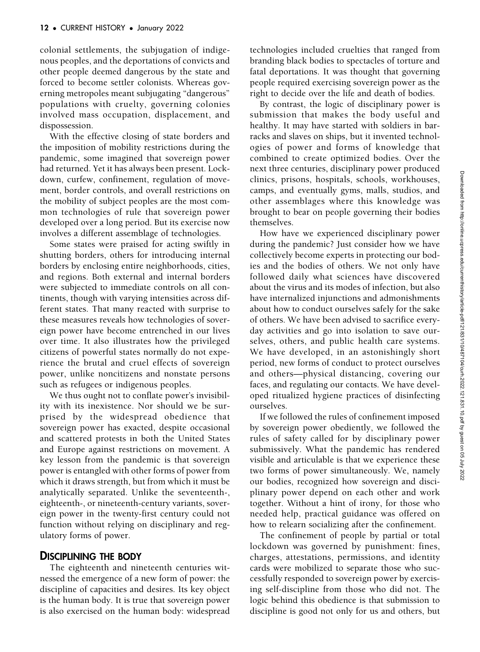colonial settlements, the subjugation of indigenous peoples, and the deportations of convicts and other people deemed dangerous by the state and forced to become settler colonists. Whereas governing metropoles meant subjugating "dangerous" populations with cruelty, governing colonies involved mass occupation, displacement, and dispossession.

With the effective closing of state borders and the imposition of mobility restrictions during the pandemic, some imagined that sovereign power had returned. Yet it has always been present. Lockdown, curfew, confinement, regulation of movement, border controls, and overall restrictions on the mobility of subject peoples are the most common technologies of rule that sovereign power developed over a long period. But its exercise now involves a different assemblage of technologies.

Some states were praised for acting swiftly in shutting borders, others for introducing internal borders by enclosing entire neighborhoods, cities, and regions. Both external and internal borders were subjected to immediate controls on all continents, though with varying intensities across different states. That many reacted with surprise to these measures reveals how technologies of sovereign power have become entrenched in our lives over time. It also illustrates how the privileged citizens of powerful states normally do not experience the brutal and cruel effects of sovereign power, unlike noncitizens and nonstate persons such as refugees or indigenous peoples.

We thus ought not to conflate power's invisibility with its inexistence. Nor should we be surprised by the widespread obedience that sovereign power has exacted, despite occasional and scattered protests in both the United States and Europe against restrictions on movement. A key lesson from the pandemic is that sovereign power is entangled with other forms of power from which it draws strength, but from which it must be analytically separated. Unlike the seventeenth-, eighteenth-, or nineteenth-century variants, sovereign power in the twenty-first century could not function without relying on disciplinary and regulatory forms of power.

# DISCIPLINING THE BODY

The eighteenth and nineteenth centuries witnessed the emergence of a new form of power: the discipline of capacities and desires. Its key object is the human body. It is true that sovereign power is also exercised on the human body: widespread technologies included cruelties that ranged from branding black bodies to spectacles of torture and fatal deportations. It was thought that governing people required exercising sovereign power as the right to decide over the life and death of bodies.

By contrast, the logic of disciplinary power is submission that makes the body useful and healthy. It may have started with soldiers in barracks and slaves on ships, but it invented technologies of power and forms of knowledge that combined to create optimized bodies. Over the next three centuries, disciplinary power produced clinics, prisons, hospitals, schools, workhouses, camps, and eventually gyms, malls, studios, and other assemblages where this knowledge was brought to bear on people governing their bodies themselves.

How have we experienced disciplinary power during the pandemic? Just consider how we have collectively become experts in protecting our bodies and the bodies of others. We not only have followed daily what sciences have discovered about the virus and its modes of infection, but also have internalized injunctions and admonishments about how to conduct ourselves safely for the sake of others. We have been advised to sacrifice everyday activities and go into isolation to save ourselves, others, and public health care systems. We have developed, in an astonishingly short period, new forms of conduct to protect ourselves and others—physical distancing, covering our faces, and regulating our contacts. We have developed ritualized hygiene practices of disinfecting ourselves.

If we followed the rules of confinement imposed by sovereign power obediently, we followed the rules of safety called for by disciplinary power submissively. What the pandemic has rendered visible and articulable is that we experience these two forms of power simultaneously. We, namely our bodies, recognized how sovereign and disciplinary power depend on each other and work together. Without a hint of irony, for those who needed help, practical guidance was offered on how to relearn socializing after the confinement.

The confinement of people by partial or total lockdown was governed by punishment: fines, charges, attestations, permissions, and identity cards were mobilized to separate those who successfully responded to sovereign power by exercising self-discipline from those who did not. The logic behind this obedience is that submission to discipline is good not only for us and others, but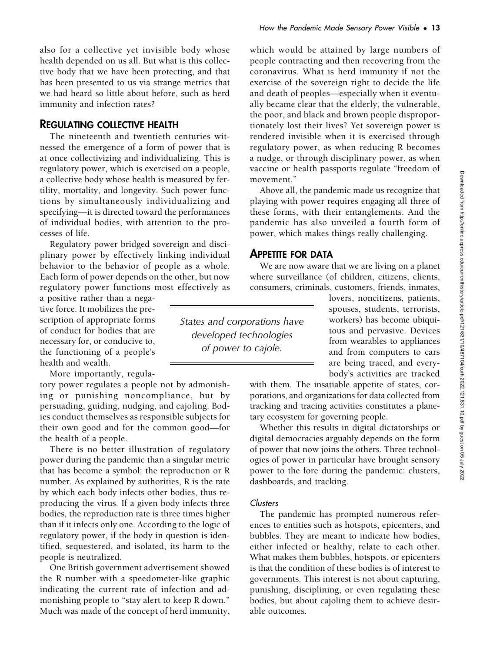also for a collective yet invisible body whose health depended on us all. But what is this collective body that we have been protecting, and that has been presented to us via strange metrics that we had heard so little about before, such as herd immunity and infection rates?

#### REGULATING COLLECTIVE HEALTH

The nineteenth and twentieth centuries witnessed the emergence of a form of power that is at once collectivizing and individualizing. This is regulatory power, which is exercised on a people, a collective body whose health is measured by fertility, mortality, and longevity. Such power functions by simultaneously individualizing and specifying—it is directed toward the performances of individual bodies, with attention to the processes of life.

Regulatory power bridged sovereign and disciplinary power by effectively linking individual behavior to the behavior of people as a whole. Each form of power depends on the other, but now regulatory power functions most effectively as

a positive rather than a negative force. It mobilizes the prescription of appropriate forms of conduct for bodies that are necessary for, or conducive to, the functioning of a people's health and wealth.

More importantly, regula-

tory power regulates a people not by admonishing or punishing noncompliance, but by persuading, guiding, nudging, and cajoling. Bodies conduct themselves as responsible subjects for their own good and for the common good—for the health of a people.

There is no better illustration of regulatory power during the pandemic than a singular metric that has become a symbol: the reproduction or R number. As explained by authorities, R is the rate by which each body infects other bodies, thus reproducing the virus. If a given body infects three bodies, the reproduction rate is three times higher than if it infects only one. According to the logic of regulatory power, if the body in question is identified, sequestered, and isolated, its harm to the people is neutralized.

One British government advertisement showed the R number with a speedometer-like graphic indicating the current rate of infection and admonishing people to "stay alert to keep R down." Much was made of the concept of herd immunity,

States and corporations have developed technologies of power to cajole.

which would be attained by large numbers of people contracting and then recovering from the coronavirus. What is herd immunity if not the exercise of the sovereign right to decide the life and death of peoples—especially when it eventually became clear that the elderly, the vulnerable, the poor, and black and brown people disproportionately lost their lives? Yet sovereign power is rendered invisible when it is exercised through regulatory power, as when reducing R becomes a nudge, or through disciplinary power, as when vaccine or health passports regulate "freedom of movement."

Above all, the pandemic made us recognize that playing with power requires engaging all three of these forms, with their entanglements. And the pandemic has also unveiled a fourth form of power, which makes things really challenging.

# APPETITE FOR DATA

We are now aware that we are living on a planet where surveillance (of children, citizens, clients, consumers, criminals, customers, friends, inmates,

> lovers, noncitizens, patients, spouses, students, terrorists, workers) has become ubiquitous and pervasive. Devices from wearables to appliances and from computers to cars are being traced, and everybody's activities are tracked

with them. The insatiable appetite of states, corporations, and organizations for data collected from tracking and tracing activities constitutes a planetary ecosystem for governing people.

Whether this results in digital dictatorships or digital democracies arguably depends on the form of power that now joins the others. Three technologies of power in particular have brought sensory power to the fore during the pandemic: clusters, dashboards, and tracking.

#### Clusters

The pandemic has prompted numerous references to entities such as hotspots, epicenters, and bubbles. They are meant to indicate how bodies, either infected or healthy, relate to each other. What makes them bubbles, hotspots, or epicenters is that the condition of these bodies is of interest to governments. This interest is not about capturing, punishing, disciplining, or even regulating these bodies, but about cajoling them to achieve desirable outcomes.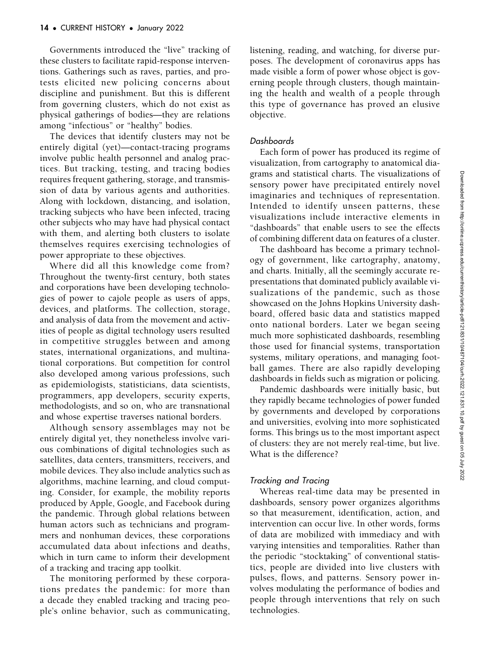Governments introduced the "live" tracking of these clusters to facilitate rapid-response interventions. Gatherings such as raves, parties, and protests elicited new policing concerns about discipline and punishment. But this is different from governing clusters, which do not exist as physical gatherings of bodies—they are relations among "infectious" or "healthy" bodies.

The devices that identify clusters may not be entirely digital (yet)—contact-tracing programs involve public health personnel and analog practices. But tracking, testing, and tracing bodies requires frequent gathering, storage, and transmission of data by various agents and authorities. Along with lockdown, distancing, and isolation, tracking subjects who have been infected, tracing other subjects who may have had physical contact with them, and alerting both clusters to isolate themselves requires exercising technologies of power appropriate to these objectives.

Where did all this knowledge come from? Throughout the twenty-first century, both states and corporations have been developing technologies of power to cajole people as users of apps, devices, and platforms. The collection, storage, and analysis of data from the movement and activities of people as digital technology users resulted in competitive struggles between and among states, international organizations, and multinational corporations. But competition for control also developed among various professions, such as epidemiologists, statisticians, data scientists, programmers, app developers, security experts, methodologists, and so on, who are transnational and whose expertise traverses national borders.

Although sensory assemblages may not be entirely digital yet, they nonetheless involve various combinations of digital technologies such as satellites, data centers, transmitters, receivers, and mobile devices. They also include analytics such as algorithms, machine learning, and cloud computing. Consider, for example, the mobility reports produced by Apple, Google, and Facebook during the pandemic. Through global relations between human actors such as technicians and programmers and nonhuman devices, these corporations accumulated data about infections and deaths, which in turn came to inform their development of a tracking and tracing app toolkit.

The monitoring performed by these corporations predates the pandemic: for more than a decade they enabled tracking and tracing people's online behavior, such as communicating, listening, reading, and watching, for diverse purposes. The development of coronavirus apps has made visible a form of power whose object is governing people through clusters, though maintaining the health and wealth of a people through this type of governance has proved an elusive objective.

#### Dashboards

Each form of power has produced its regime of visualization, from cartography to anatomical diagrams and statistical charts. The visualizations of sensory power have precipitated entirely novel imaginaries and techniques of representation. Intended to identify unseen patterns, these visualizations include interactive elements in "dashboards" that enable users to see the effects of combining different data on features of a cluster.

The dashboard has become a primary technology of government, like cartography, anatomy, and charts. Initially, all the seemingly accurate representations that dominated publicly available visualizations of the pandemic, such as those showcased on the Johns Hopkins University dashboard, offered basic data and statistics mapped onto national borders. Later we began seeing much more sophisticated dashboards, resembling those used for financial systems, transportation systems, military operations, and managing football games. There are also rapidly developing dashboards in fields such as migration or policing.

Pandemic dashboards were initially basic, but they rapidly became technologies of power funded by governments and developed by corporations and universities, evolving into more sophisticated forms. This brings us to the most important aspect of clusters: they are not merely real-time, but live. What is the difference?

## Tracking and Tracing

Whereas real-time data may be presented in dashboards, sensory power organizes algorithms so that measurement, identification, action, and intervention can occur live. In other words, forms of data are mobilized with immediacy and with varying intensities and temporalities. Rather than the periodic "stocktaking" of conventional statistics, people are divided into live clusters with pulses, flows, and patterns. Sensory power involves modulating the performance of bodies and people through interventions that rely on such technologies.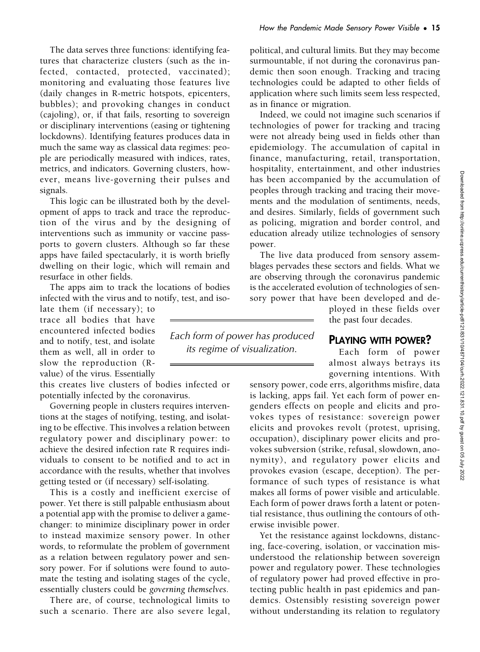The data serves three functions: identifying features that characterize clusters (such as the infected, contacted, protected, vaccinated); monitoring and evaluating those features live (daily changes in R-metric hotspots, epicenters, bubbles); and provoking changes in conduct (cajoling), or, if that fails, resorting to sovereign or disciplinary interventions (easing or tightening lockdowns). Identifying features produces data in much the same way as classical data regimes: people are periodically measured with indices, rates, metrics, and indicators. Governing clusters, however, means live-governing their pulses and signals.

This logic can be illustrated both by the development of apps to track and trace the reproduction of the virus and by the designing of interventions such as immunity or vaccine passports to govern clusters. Although so far these apps have failed spectacularly, it is worth briefly dwelling on their logic, which will remain and resurface in other fields.

The apps aim to track the locations of bodies infected with the virus and to notify, test, and iso-

late them (if necessary); to trace all bodies that have encountered infected bodies and to notify, test, and isolate them as well, all in order to slow the reproduction (Rvalue) of the virus. Essentially

this creates live clusters of bodies infected or potentially infected by the coronavirus.

Governing people in clusters requires interventions at the stages of notifying, testing, and isolating to be effective. This involves a relation between regulatory power and disciplinary power: to achieve the desired infection rate R requires individuals to consent to be notified and to act in accordance with the results, whether that involves getting tested or (if necessary) self-isolating.

This is a costly and inefficient exercise of power. Yet there is still palpable enthusiasm about a potential app with the promise to deliver a gamechanger: to minimize disciplinary power in order to instead maximize sensory power. In other words, to reformulate the problem of government as a relation between regulatory power and sensory power. For if solutions were found to automate the testing and isolating stages of the cycle, essentially clusters could be governing themselves.

There are, of course, technological limits to such a scenario. There are also severe legal, How the Pandemic Made Sensory Power Visible • 15

political, and cultural limits. But they may become surmountable, if not during the coronavirus pandemic then soon enough. Tracking and tracing technologies could be adapted to other fields of application where such limits seem less respected, as in finance or migration.

Indeed, we could not imagine such scenarios if technologies of power for tracking and tracing were not already being used in fields other than epidemiology. The accumulation of capital in finance, manufacturing, retail, transportation, hospitality, entertainment, and other industries has been accompanied by the accumulation of peoples through tracking and tracing their movements and the modulation of sentiments, needs, and desires. Similarly, fields of government such as policing, migration and border control, and education already utilize technologies of sensory power.

The live data produced from sensory assemblages pervades these sectors and fields. What we are observing through the coronavirus pandemic is the accelerated evolution of technologies of sensory power that have been developed and de-

> ployed in these fields over the past four decades.

## PLAYING WITH POWER?

Each form of power almost always betrays its governing intentions. With

sensory power, code errs, algorithms misfire, data is lacking, apps fail. Yet each form of power engenders effects on people and elicits and provokes types of resistance: sovereign power elicits and provokes revolt (protest, uprising, occupation), disciplinary power elicits and provokes subversion (strike, refusal, slowdown, anonymity), and regulatory power elicits and provokes evasion (escape, deception). The performance of such types of resistance is what makes all forms of power visible and articulable. Each form of power draws forth a latent or potential resistance, thus outlining the contours of otherwise invisible power.

Yet the resistance against lockdowns, distancing, face-covering, isolation, or vaccination misunderstood the relationship between sovereign power and regulatory power. These technologies of regulatory power had proved effective in protecting public health in past epidemics and pandemics. Ostensibly resisting sovereign power without understanding its relation to regulatory

Each form of power has produced its regime of visualization.